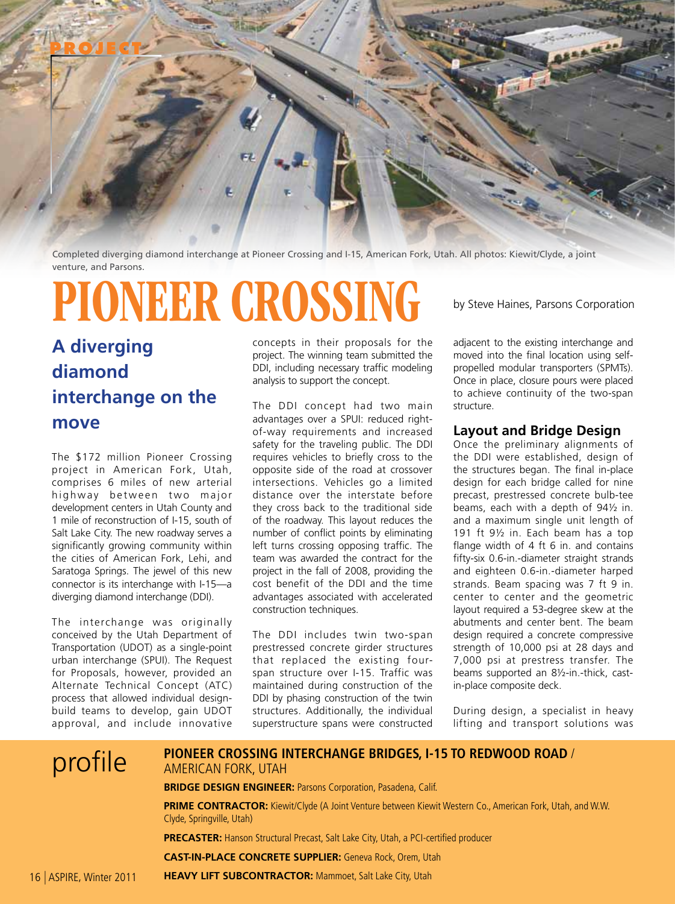

Completed diverging diamond interchange at Pioneer Crossing and I-15, American Fork, Utah. All photos: Kiewit/Clyde, a joint venture, and Parsons.

# PIONEER CROSSING by Steve Haines, Parsons Corporation

**A diverging diamond interchange on the move**

The \$172 million Pioneer Crossing project in American Fork, Utah, comprises 6 miles of new arterial highway between two major development centers in Utah County and 1 mile of reconstruction of I-15, south of Salt Lake City. The new roadway serves a significantly growing community within the cities of American Fork, Lehi, and Saratoga Springs. The jewel of this new connector is its interchange with I-15—a diverging diamond interchange (DDI).

The interchange was originally conceived by the Utah Department of Transportation (UDOT) as a single-point urban interchange (SPUI). The Request for Proposals, however, provided an Alternate Technical Concept (ATC) process that allowed individual designbuild teams to develop, gain UDOT approval, and include innovative

concepts in their proposals for the project. The winning team submitted the DDI, including necessary traffic modeling analysis to support the concept.

The DDI concept had two main advantages over a SPUI: reduced rightof-way requirements and increased safety for the traveling public. The DDI requires vehicles to briefly cross to the opposite side of the road at crossover intersections. Vehicles go a limited distance over the interstate before they cross back to the traditional side of the roadway. This layout reduces the number of conflict points by eliminating left turns crossing opposing traffic. The team was awarded the contract for the project in the fall of 2008, providing the cost benefit of the DDI and the time advantages associated with accelerated construction techniques.

The DDI includes twin two-span prestressed concrete girder structures that replaced the existing fourspan structure over I-15. Traffic was maintained during construction of the DDI by phasing construction of the twin structures. Additionally, the individual superstructure spans were constructed

adjacent to the existing interchange and moved into the final location using selfpropelled modular transporters (SPMTs). Once in place, closure pours were placed to achieve continuity of the two-span structure.

### **Layout and Bridge Design**

Once the preliminary alignments of the DDI were established, design of the structures began. The final in-place design for each bridge called for nine precast, prestressed concrete bulb-tee beams, each with a depth of 94½ in. and a maximum single unit length of 191 ft 9½ in. Each beam has a top flange width of 4 ft 6 in. and contains fifty-six 0.6-in.-diameter straight strands and eighteen 0.6-in.-diameter harped strands. Beam spacing was 7 ft 9 in. center to center and the geometric layout required a 53-degree skew at the abutments and center bent. The beam design required a concrete compressive strength of 10,000 psi at 28 days and 7,000 psi at prestress transfer. The beams supported an 8½-in.-thick, castin-place composite deck.

During design, a specialist in heavy lifting and transport solutions was

| profile | PIONEER CROSSING INTERCHANGE BRIDGES, I-15 TO REDWOOD ROAD /<br>AMERICAN FORK, UTAH<br><b>BRIDGE DESIGN ENGINEER: Parsons Corporation, Pasadena, Calif.</b> |
|---------|-------------------------------------------------------------------------------------------------------------------------------------------------------------|
|         | PRIME CONTRACTOR: Kiewit/Clyde (A Joint Venture between Kiewit Western Co., American Fork, Utah, and W.W.<br>Clyde, Springville, Utah)                      |
|         | <b>PRECASTER:</b> Hanson Structural Precast, Salt Lake City, Utah, a PCI-certified producer                                                                 |
|         | <b>CAST-IN-PLACE CONCRETE SUPPLIER:</b> Geneva Rock, Orem, Utah                                                                                             |

**HEAVY LIFT SUBCONTRACTOR:** Mammoet, Salt Lake City, Utah 16 | ASPIRE, Winter 2011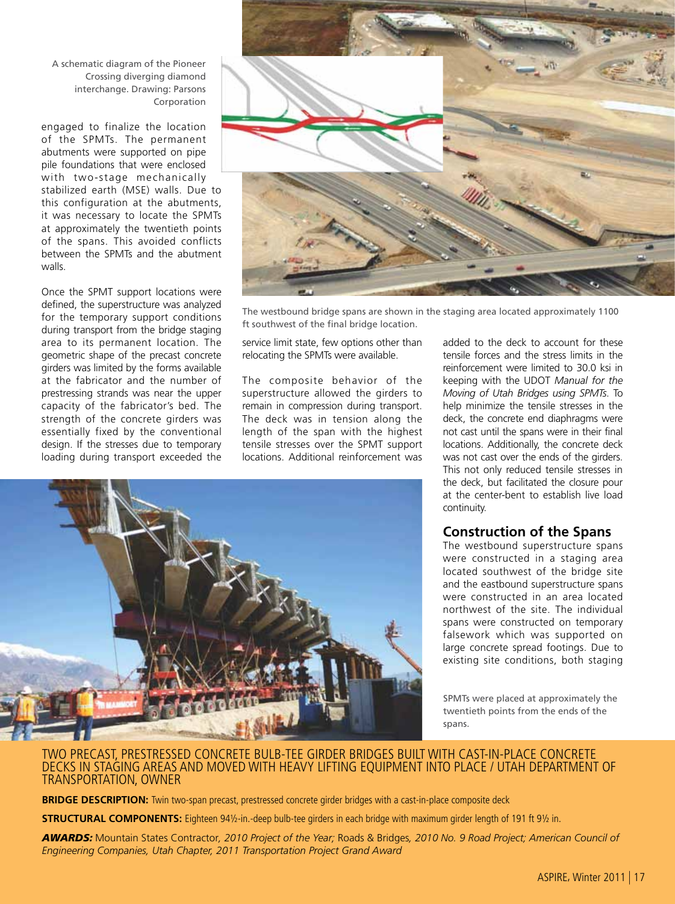A schematic diagram of the Pioneer Crossing diverging diamond interchange. Drawing: Parsons Corporation

engaged to finalize the location of the SPMTs. The permanent abutments were supported on pipe pile foundations that were enclosed with two-stage mechanically stabilized earth (MSE) walls. Due to this configuration at the abutments, it was necessary to locate the SPMTs at approximately the twentieth points of the spans. This avoided conflicts between the SPMTs and the abutment walls.

Once the SPMT support locations were defined, the superstructure was analyzed for the temporary support conditions during transport from the bridge staging area to its permanent location. The geometric shape of the precast concrete girders was limited by the forms available at the fabricator and the number of prestressing strands was near the upper capacity of the fabricator's bed. The strength of the concrete girders was essentially fixed by the conventional design. If the stresses due to temporary loading during transport exceeded the



The westbound bridge spans are shown in the staging area located approximately 1100 ft southwest of the final bridge location.

service limit state, few options other than relocating the SPMTs were available.

The composite behavior of the superstructure allowed the girders to remain in compression during transport. The deck was in tension along the length of the span with the highest tensile stresses over the SPMT support locations. Additional reinforcement was added to the deck to account for these tensile forces and the stress limits in the reinforcement were limited to 30.0 ksi in keeping with the UDOT *Manual for the Moving of Utah Bridges using SPMTs*. To help minimize the tensile stresses in the deck, the concrete end diaphragms were not cast until the spans were in their final locations. Additionally, the concrete deck was not cast over the ends of the girders. This not only reduced tensile stresses in the deck, but facilitated the closure pour at the center-bent to establish live load continuity.

#### **Construction of the Spans**

The westbound superstructure spans were constructed in a staging area located southwest of the bridge site and the eastbound superstructure spans were constructed in an area located northwest of the site. The individual spans were constructed on temporary falsework which was supported on large concrete spread footings. Due to existing site conditions, both staging

SPMTs were placed at approximately the twentieth points from the ends of the spans.

#### TWO PRECAST, PRESTRESSED CONCRETE BULB-TEE GIRDER BRIDGES BUILT WITH CAST-IN-PLACE CONCRETE DECKS IN STAGING AREAS AND MOVED WITH HEAVY LIFTING EQUIPMENT INTO PLACE / UTAH DEPARTMENT OF TRANSPORTATION, OWNER

**BRIDGE DESCRIPTION:** Twin two-span precast, prestressed concrete girder bridges with a cast-in-place composite deck

**STRUCTURAL COMPONENTS:** Eighteen 941/<sub>2</sub>-in.-deep bulb-tee girders in each bridge with maximum girder length of 191 ft 91/2 in.

*awards:* Mountain States Contractor*, 2010 Project of the Year;* Roads & Bridges*, 2010 No. 9 Road Project; American Council of Engineering Companies, Utah Chapter, 2011 Transportation Project Grand Award*